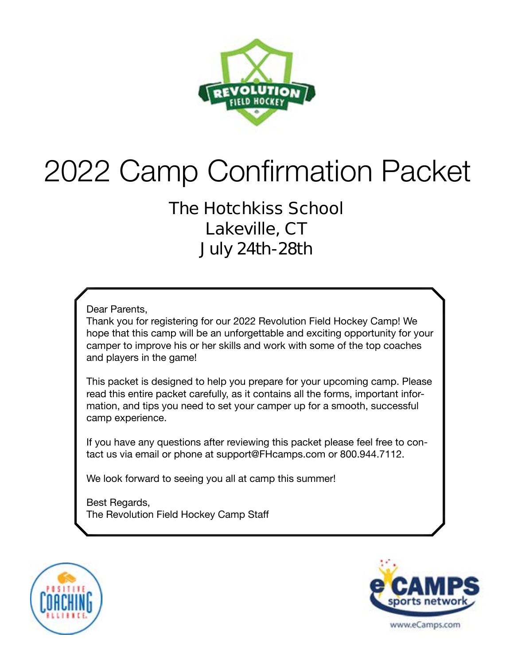

# 2022 Camp Confirmation Packet

### **The Hotchkiss School Lakeville, CT July 24th-28th**

Dear Parents,

Thank you for registering for our 2022 Revolution Field Hockey Camp! We hope that this camp will be an unforgettable and exciting opportunity for your camper to improve his or her skills and work with some of the top coaches and players in the game!

This packet is designed to help you prepare for your upcoming camp. Please read this entire packet carefully, as it contains all the forms, important information, and tips you need to set your camper up for a smooth, successful camp experience.

If you have any questions after reviewing this packet please feel free to contact us via email or phone at support@FHcamps.com or 800.944.7112.

We look forward to seeing you all at camp this summer!

Best Regards, The Revolution Field Hockey Camp Staff



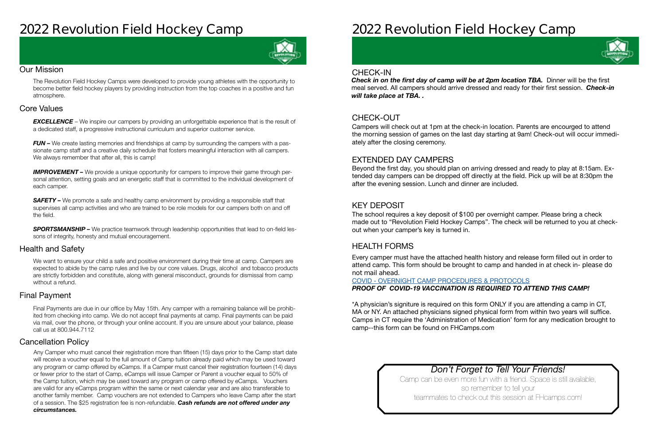## **2022 Revolution Field Hockey Camp**



#### Our Mission

The Revolution Field Hockey Camps were developed to provide young athletes with the opportunity to become better field hockey players by providing instruction from the top coaches in a positive and fun atmosphere.

#### Health and Safety

#### Cancellation Policy

#### Final Payment

We want to ensure your child a safe and positive environment during their time at camp. Campers are expected to abide by the camp rules and live by our core values. Drugs, alcohol and tobacco products are strictly forbidden and constitute, along with general misconduct, grounds for dismissal from camp without a refund.

**EXCELLENCE** – We inspire our campers by providing an unforgettable experience that is the result of a dedicated staff, a progressive instructional curriculum and superior customer service.

*FUN –* We create lasting memories and friendships at camp by surrounding the campers with a passionate camp staff and a creative daily schedule that fosters meaningful interaction with all campers. We always remember that after all, this is camp!

#### Core Values

**IMPROVEMENT** – We provide a unique opportunity for campers to improve their game through personal attention, setting goals and an energetic staff that is committed to the individual development of each camper.

**SAFETY** – We promote a safe and healthy camp environment by providing a responsible staff that supervises all camp activities and who are trained to be role models for our campers both on and off the field.

**SPORTSMANSHIP –** We practice teamwork through leadership opportunities that lead to on-field lessons of integrity, honesty and mutual encouragement.

> Camp can be even more fun with a friend. Space is still available, so remember to tell your teammates to check out this session at FHcamps.com!

Final Payments are due in our office by May 15th. Any camper with a remaining balance will be prohibited from checking into camp. We do not accept final payments at camp. Final payments can be paid via mail, over the phone, or through your online account. If you are unsure about your balance, please call us at 800.944.7112

**Check in on the first day of camp will be at 2pm location TBA.** Dinner will be the first meal served. All campers should arrive dressed and ready for their first session. *Check-in will take place at TBA. .* 

Any Camper who must cancel their registration more than fifteen (15) days prior to the Camp start date will receive a voucher equal to the full amount of Camp tuition already paid which may be used toward any program or camp offered by eCamps. If a Camper must cancel their registration fourteen (14) days or fewer prior to the start of Camp, eCamps will issue Camper or Parent a voucher equal to 50% of the Camp tuition, which may be used toward any program or camp offered by eCamps. Vouchers are valid for any eCamps program within the same or next calendar year and are also transferable to another family member. Camp vouchers are not extended to Campers who leave Camp after the start of a session. The \$25 registration fee is non-refundable. *Cash refunds are not offered under any circumstances.*

## **2022 Revolution Field Hockey Camp**

### *Don't Forget to Tell Your Friends!*

#### CHECK-OUT

#### EXTENDED DAY CAMPERS

#### KEY DEPOSIT

#### HEALTH FORMS

Campers will check out at 1pm at the check-in location. Parents are encourged to attend the morning session of games on the last day starting at 9am! Check-out will occur immediately after the closing ceremony.

Beyond the first day, you should plan on arriving dressed and ready to play at 8:15am. Extended day campers can be dropped off directly at the field. Pick up will be at 8:30pm the after the evening session. Lunch and dinner are included.

The school requires a key deposit of \$100 per overnight camper. Please bring a check made out to "Revolution Field Hockey Camps". The check will be returned to you at checkout when your camper's key is turned in.

Every camper must have the attached health history and release form filled out in order to attend camp. This form should be brought to camp and handed in at check in- **please do not mail ahead**.

#### COVID - [OVERNIGHT CAMP PROCEDURES & PROTOCOLS](https://laxcamps.com/wp-content/uploads/COVID-19-eCamps-Sports-Network-Guidlines-Overnight-Camp.pdf) *PROOF OF COVID-19 VACCINATION IS REQUIRED TO ATTEND THIS CAMP!*

\*A physician's signiture is required on this form ONLY if you are attending a camp in CT, MA or NY. An attached physicians signed physical form from within two years will suffice. Camps in CT require the 'Administration of Medication' form for any medication brought to camp--this form can be found on FHCamps.com

#### CHECK-IN